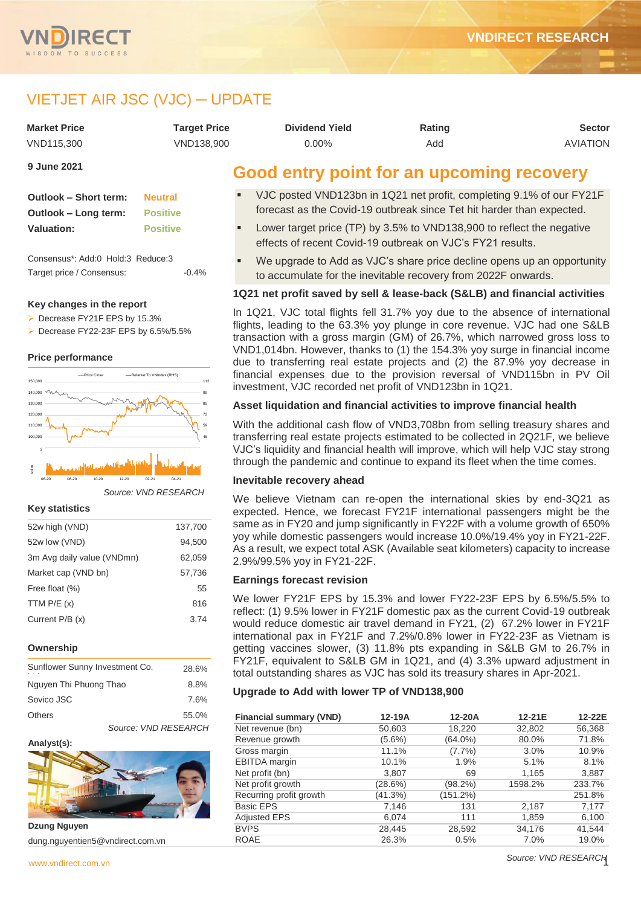

# VIETJET AIR JSC (VJC) ─ UPDATE

| <b>Market Price</b> | Tarqet Price | <b>Dividend Yield</b>                    | Rating | <b>Sector</b>   |
|---------------------|--------------|------------------------------------------|--------|-----------------|
| VND115.300          | VND138.900   | 0.00%                                    | Add    | <b>AVIATION</b> |
| <b>9 June 2021</b>  |              | Caad anter naint far an unaaming reagram |        |                 |

| Outlook - Short term: | <b>Neutral</b>  |
|-----------------------|-----------------|
| Outlook – Long term:  | <b>Positive</b> |
| <b>Valuation:</b>     | <b>Positive</b> |

Consensus\*: Add:0 Hold:3 Reduce:3 Target price / Consensus:  $-0.4\%$ 

#### **Key changes in the report**

▶ Decrease FY21F EPS by 15.3%

▶ Decrease FY22-23F EPS by 6.5%/5.5%

### **Price performance**



*Source: VND RESEARCH*

#### **Key statistics**

| 52w high (VND)             | 137,700 |
|----------------------------|---------|
| 52w low (VND)              | 94,500  |
| 3m Avg daily value (VNDmn) | 62,059  |
| Market cap (VND bn)        | 57,736  |
| Free float (%)             | 55      |
| TTM $P/E(x)$               | 816     |
| Current P/B (x)            | 3.74    |
|                            |         |

# **Ownership**

| Sunflower Sunny Investment Co. |                      | 28.6% |
|--------------------------------|----------------------|-------|
| Nguyen Thi Phuong Thao         |                      | 8.8%  |
| Sovico JSC                     |                      | 7.6%  |
| <b>Others</b>                  |                      | 55.0% |
|                                | Source: VND RESEARCH |       |

#### **Analyst(s):**



**Dzung Nguyen** dung.nguyentien5@vndirect.com.vn

# **Good entry point for an upcoming recovery**

- VJC posted VND123bn in 1Q21 net profit, completing 9.1% of our FY21F forecast as the Covid-19 outbreak since Tet hit harder than expected.
- Lower target price (TP) by 3.5% to VND138,900 to reflect the negative effects of recent Covid-19 outbreak on VJC's FY21 results.
- We upgrade to Add as VJC's share price decline opens up an opportunity to accumulate for the inevitable recovery from 2022F onwards.

# **1Q21 net profit saved by sell & lease-back (S&LB) and financial activities**

In 1Q21, VJC total flights fell 31.7% yoy due to the absence of international flights, leading to the 63.3% yoy plunge in core revenue. VJC had one S&LB transaction with a gross margin (GM) of 26.7%, which narrowed gross loss to VND1,014bn. However, thanks to (1) the 154.3% yoy surge in financial income due to transferring real estate projects and (2) the 87.9% yoy decrease in financial expenses due to the provision reversal of VND115bn in PV Oil investment, VJC recorded net profit of VND123bn in 1Q21.

# **Asset liquidation and financial activities to improve financial health**

With the additional cash flow of VND3,708bn from selling treasury shares and transferring real estate projects estimated to be collected in 2Q21F, we believe VJC's liquidity and financial health will improve, which will help VJC stay strong through the pandemic and continue to expand its fleet when the time comes.

### **Inevitable recovery ahead**

We believe Vietnam can re-open the international skies by end-3Q21 as expected. Hence, we forecast FY21F international passengers might be the same as in FY20 and jump significantly in FY22F with a volume growth of 650% yoy while domestic passengers would increase 10.0%/19.4% yoy in FY21-22F. As a result, we expect total ASK (Available seat kilometers) capacity to increase 2.9%/99.5% yoy in FY21-22F.

#### **Earnings forecast revision**

We lower FY21F EPS by 15.3% and lower FY22-23F EPS by 6.5%/5.5% to reflect: (1) 9.5% lower in FY21F domestic pax as the current Covid-19 outbreak would reduce domestic air travel demand in FY21, (2) 67.2% lower in FY21F international pax in FY21F and 7.2%/0.8% lower in FY22-23F as Vietnam is getting vaccines slower, (3) 11.8% pts expanding in S&LB GM to 26.7% in FY21F, equivalent to S&LB GM in 1Q21, and (4) 3.3% upward adjustment in total outstanding shares as VJC has sold its treasury shares in Apr-2021.

#### **Upgrade to Add with lower TP of VND138,900**

| <b>Financial summary (VND)</b> | $12-19A$  | $12-20A$   | 12-21E  | 12-22E |
|--------------------------------|-----------|------------|---------|--------|
| Net revenue (bn)               | 50,603    | 18,220     | 32,802  | 56,368 |
| Revenue growth                 | $(5.6\%)$ | (64.0%)    | 80.0%   | 71.8%  |
| Gross margin                   | 11.1%     | $(7.7\%)$  | 3.0%    | 10.9%  |
| <b>EBITDA</b> margin           | 10.1%     | 1.9%       | 5.1%    | 8.1%   |
| Net profit (bn)                | 3,807     | 69         | 1,165   | 3,887  |
| Net profit growth              | (28.6%)   | $(98.2\%)$ | 1598.2% | 233.7% |
| Recurring profit growth        | (41.3%)   | (151.2%)   |         | 251.8% |
| Basic EPS                      | 7,146     | 131        | 2,187   | 7,177  |
| <b>Adjusted EPS</b>            | 6,074     | 111        | 1,859   | 6,100  |
| <b>BVPS</b>                    | 28,445    | 28,592     | 34,176  | 41,544 |
| <b>ROAE</b>                    | 26.3%     | 0.5%       | 7.0%    | 19.0%  |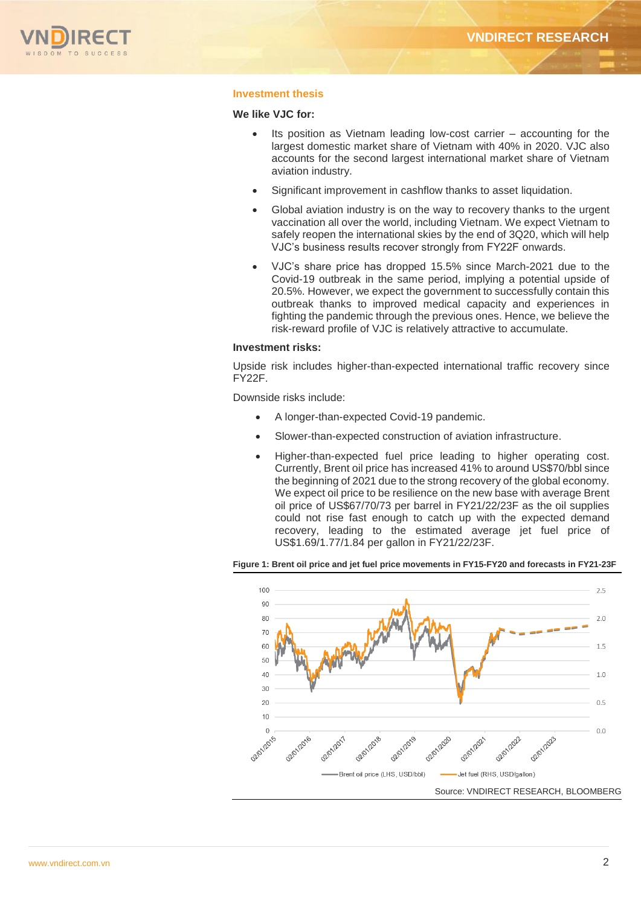

# **Investment thesis**

# **We like VJC for:**

- Its position as Vietnam leading low-cost carrier accounting for the largest domestic market share of Vietnam with 40% in 2020. VJC also accounts for the second largest international market share of Vietnam aviation industry.
- Significant improvement in cashflow thanks to asset liquidation.
- Global aviation industry is on the way to recovery thanks to the urgent vaccination all over the world, including Vietnam. We expect Vietnam to safely reopen the international skies by the end of 3Q20, which will help VJC's business results recover strongly from FY22F onwards.
- VJC's share price has dropped 15.5% since March-2021 due to the Covid-19 outbreak in the same period, implying a potential upside of 20.5%. However, we expect the government to successfully contain this outbreak thanks to improved medical capacity and experiences in fighting the pandemic through the previous ones. Hence, we believe the risk-reward profile of VJC is relatively attractive to accumulate.

# **Investment risks:**

Upside risk includes higher-than-expected international traffic recovery since FY22F.

Downside risks include:

- A longer-than-expected Covid-19 pandemic.
- Slower-than-expected construction of aviation infrastructure.
- Higher-than-expected fuel price leading to higher operating cost. Currently, Brent oil price has increased 41% to around US\$70/bbl since the beginning of 2021 due to the strong recovery of the global economy. We expect oil price to be resilience on the new base with average Brent oil price of US\$67/70/73 per barrel in FY21/22/23F as the oil supplies could not rise fast enough to catch up with the expected demand recovery, leading to the estimated average jet fuel price of US\$1.69/1.77/1.84 per gallon in FY21/22/23F.



**Figure 1: Brent oil price and jet fuel price movements in FY15-FY20 and forecasts in FY21-23F**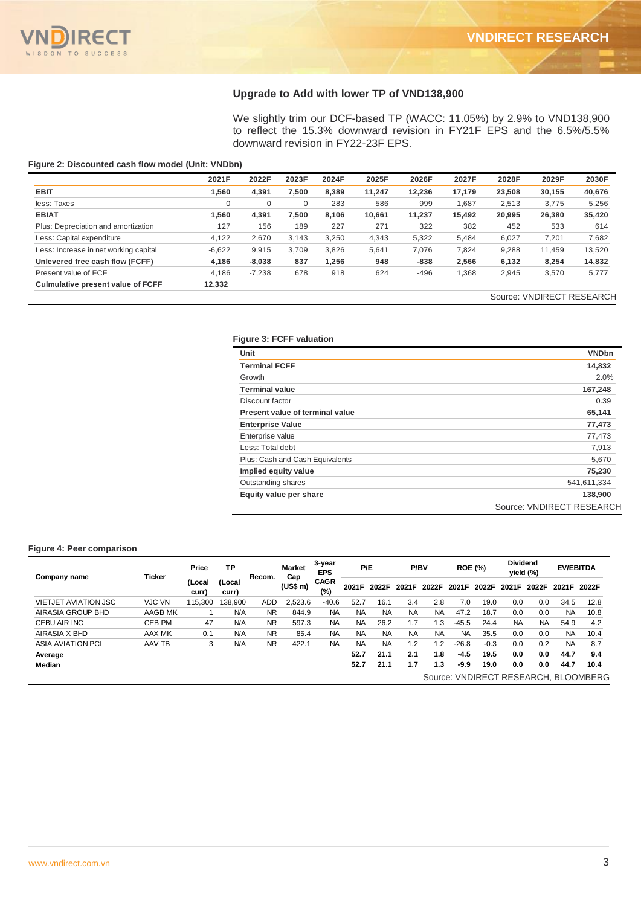

# **Upgrade to Add with lower TP of VND138,900**

We slightly trim our DCF-based TP (WACC: 11.05%) by 2.9% to VND138,900 to reflect the 15.3% downward revision in FY21F EPS and the 6.5%/5.5% downward revision in FY22-23F EPS.

# **Figure 2: Discounted cash flow model (Unit: VNDbn)**

|                                          | 2021F    | 2022F    | 2023F       | 2024F | 2025F  | 2026F  | 2027F  | 2028F  | 2029F  | 2030F  |
|------------------------------------------|----------|----------|-------------|-------|--------|--------|--------|--------|--------|--------|
| <b>EBIT</b>                              | .560     | 4,391    | 7.500       | 8.389 | 11.247 | 12.236 | 17.179 | 23.508 | 30,155 | 40,676 |
| less: Taxes                              | $\Omega$ | 0        | $\mathbf 0$ | 283   | 586    | 999    | 1.687  | 2,513  | 3,775  | 5,256  |
| <b>EBIAT</b>                             | 1.560    | 4.391    | 7.500       | 8.106 | 10.661 | 11.237 | 15.492 | 20,995 | 26,380 | 35,420 |
| Plus: Depreciation and amortization      | 127      | 156      | 189         | 227   | 271    | 322    | 382    | 452    | 533    | 614    |
| Less: Capital expenditure                | 4.122    | 2.670    | 3.143       | 3,250 | 4,343  | 5,322  | 5.484  | 6,027  | 7,201  | 7,682  |
| Less: Increase in net working capital    | $-6,622$ | 9,915    | 3.709       | 3,826 | 5,641  | 7,076  | 7,824  | 9,288  | 11.459 | 13,520 |
| Unlevered free cash flow (FCFF)          | 4.186    | $-8,038$ | 837         | .256  | 948    | $-838$ | 2,566  | 6,132  | 8,254  | 14,832 |
| Present value of FCF                     | 4.186    | $-7,238$ | 678         | 918   | 624    | $-496$ | 1,368  | 2,945  | 3,570  | 5,777  |
| <b>Culmulative present value of FCFF</b> | 12,332   |          |             |       |        |        |        |        |        |        |

# Source: VNDIRECT RESEARCH

# **Figure 3: FCFF valuation**

| Unit                            | <b>VNDbn</b>              |
|---------------------------------|---------------------------|
| <b>Terminal FCFF</b>            | 14,832                    |
| Growth                          | 2.0%                      |
| <b>Terminal value</b>           | 167,248                   |
| Discount factor                 | 0.39                      |
| Present value of terminal value | 65,141                    |
| <b>Enterprise Value</b>         | 77,473                    |
| Enterprise value                | 77,473                    |
| Less: Total debt                | 7,913                     |
| Plus: Cash and Cash Equivalents | 5,670                     |
| Implied equity value            | 75,230                    |
| Outstanding shares              | 541,611,334               |
| Equity value per share          | 138,900                   |
|                                 | Source: VNDIRECT RESEARCH |

#### **Figure 4: Peer comparison**

|                             |               |                 |                 |           |                      |                      |           |           |           |           |                |        |                 |           |           | SUUICE. VINDIKEUT KESEAKI            |
|-----------------------------|---------------|-----------------|-----------------|-----------|----------------------|----------------------|-----------|-----------|-----------|-----------|----------------|--------|-----------------|-----------|-----------|--------------------------------------|
| Figure 4: Peer comparison   | Ticker        | Price           | <b>TP</b>       | Recom.    | <b>Market</b><br>Cap | 3-year<br><b>EPS</b> |           | P/E       | P/BV      |           | <b>ROE (%)</b> |        | <b>Dividend</b> | yield (%) |           | <b>EV/EBITDA</b>                     |
| Company name                |               | (Local<br>curr) | (Local<br>curr) |           | (US\$ m)             | <b>CAGR</b><br>(%)   | 2021F     | 2022F     | 2021F     | 2022F     | 2021F          | 2022F  | 2021F           | 2022F     | 2021F     | 2022F                                |
| <b>VIETJET AVIATION JSC</b> | <b>VJC VN</b> | 115,300         | 138.900         | ADD       | 2,523.6              | $-40.6$              | 52.7      | 16.1      | 3.4       | 2.8       | 7.0            | 19.0   | 0.0             | 0.0       | 34.5      | 12.8                                 |
| AIRASIA GROUP BHD           | AAGB MK       |                 | <b>N/A</b>      | NR.       | 844.9                | NA                   | <b>NA</b> | <b>NA</b> | <b>NA</b> | <b>NA</b> | 47.2           | 18.7   | 0.0             | 0.0       | <b>NA</b> | 10.8                                 |
| CEBU AIR INC                | CEB PM        | 47              | <b>N/A</b>      | <b>NR</b> | 597.3                | NA.                  | <b>NA</b> | 26.2      | 1.7       | 1.3       | $-45.5$        | 24.4   | <b>NA</b>       | <b>NA</b> | 54.9      | 4.2                                  |
| AIRASIA X BHD               | AAX MK        | 0.1             | <b>N/A</b>      | <b>NR</b> | 85.4                 | <b>NA</b>            | <b>NA</b> | <b>NA</b> | <b>NA</b> | <b>NA</b> | <b>NA</b>      | 35.5   | 0.0             | 0.0       | <b>NA</b> | 10.4                                 |
| <b>ASIA AVIATION PCL</b>    | AAV TB        | 3               | <b>N/A</b>      | <b>NR</b> | 422.1                | <b>NA</b>            | <b>NA</b> | <b>NA</b> | 1.2       | 1.2       | $-26.8$        | $-0.3$ | 0.0             | 0.2       | <b>NA</b> | 8.7                                  |
| Average                     |               |                 |                 |           |                      |                      | 52.7      | 21.1      | 2.1       | 1.8       | $-4.5$         | 19.5   | 0.0             | 0.0       | 44.7      | 9.4                                  |
| Median                      |               |                 |                 |           |                      |                      | 52.7      | 21.1      | 1.7       | 1.3       | $-9.9$         | 19.0   | 0.0             | 0.0       | 44.7      | 10.4                                 |
|                             |               |                 |                 |           |                      |                      |           |           |           |           |                |        |                 |           |           | Source: VNDIRECT RESEARCH, BLOOMBERG |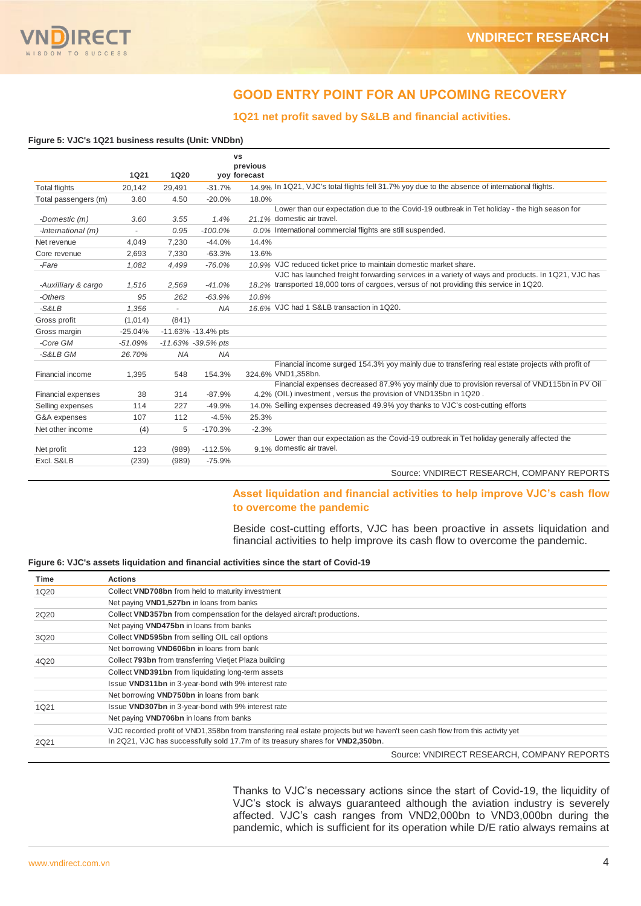

# **GOOD ENTRY POINT FOR AN UPCOMING RECOVERY**

# **1Q21 net profit saved by S&LB and financial activities.**

#### **Figure 5: VJC's 1Q21 business results (Unit: VNDbn)**

|                           |             |             |                    | VS<br>previous                                                                                                                                                                              |
|---------------------------|-------------|-------------|--------------------|---------------------------------------------------------------------------------------------------------------------------------------------------------------------------------------------|
|                           | <b>1Q21</b> | <b>1Q20</b> |                    | yoy forecast                                                                                                                                                                                |
| <b>Total flights</b>      | 20.142      | 29,491      | $-31.7%$           | 14.9% In 1Q21, VJC's total flights fell 31.7% yoy due to the absence of international flights.                                                                                              |
| Total passengers (m)      | 3.60        | 4.50        | $-20.0%$           | 18.0%                                                                                                                                                                                       |
| -Domestic (m)             | 3.60        | 3.55        | 1.4%               | Lower than our expectation due to the Covid-19 outbreak in Tet holiday - the high season for<br>21.1% domestic air travel.                                                                  |
| -International $(m)$      |             | 0.95        | $-100.0\%$         | 0.0% International commercial flights are still suspended.                                                                                                                                  |
| Net revenue               | 4,049       | 7,230       | $-44.0%$           | 14.4%                                                                                                                                                                                       |
| Core revenue              | 2.693       | 7,330       | $-63.3%$           | 13.6%                                                                                                                                                                                       |
| -Fare                     | 1.082       | 4.499       | $-76.0%$           | 10.9% VJC reduced ticket price to maintain domestic market share.                                                                                                                           |
| -Auxilliary & cargo       | 1.516       | 2,569       | $-41.0%$           | VJC has launched freight forwarding services in a variety of ways and products. In 1Q21, VJC has<br>18.2% transported 18,000 tons of cargoes, versus of not providing this service in 1Q20. |
| -Others                   | 95          | 262         | $-63.9%$           | 10.8%                                                                                                                                                                                       |
| $-S&LB$                   | 1.356       | ÷.          | <b>NA</b>          | 16.6% VJC had 1 S&LB transaction in 1Q20.                                                                                                                                                   |
| Gross profit              | (1,014)     | (841)       |                    |                                                                                                                                                                                             |
| Gross margin              | $-25.04%$   |             | -11.63% -13.4% pts |                                                                                                                                                                                             |
| -Core GM                  | $-51.09%$   |             | -11.63% -39.5% pts |                                                                                                                                                                                             |
| -S&LB GM                  | 26.70%      | <b>NA</b>   | <b>NA</b>          |                                                                                                                                                                                             |
| Financial income          | 1.395       | 548         | 154.3%             | Financial income surged 154.3% yoy mainly due to transfering real estate projects with profit of<br>324.6% VND1,358bn.                                                                      |
|                           |             |             |                    | Financial expenses decreased 87.9% yoy mainly due to provision reversal of VND115bn in PV Oil                                                                                               |
| <b>Financial expenses</b> | 38          | 314         | $-87.9%$           | 4.2% (OIL) investment, versus the provision of VND135bn in 1Q20.                                                                                                                            |
| Selling expenses          | 114         | 227         | $-49.9%$           | 14.0% Selling expenses decreased 49.9% yoy thanks to VJC's cost-cutting efforts                                                                                                             |
| G&A expenses              | 107         | 112         | $-4.5%$            | 25.3%                                                                                                                                                                                       |
| Net other income          | (4)         | 5           | $-170.3%$          | $-2.3%$                                                                                                                                                                                     |
| Net profit                | 123         | (989)       | $-112.5%$          | Lower than our expectation as the Covid-19 outbreak in Tet holiday generally affected the<br>9.1% domestic air travel.                                                                      |
| Excl. S&LB                | (239)       | (989)       | $-75.9%$           | $\overline{\phantom{0}}$                                                                                                                                                                    |

Source: VNDIRECT RESEARCH, COMPANY REPORTS

# **Asset liquidation and financial activities to help improve VJC's cash flow to overcome the pandemic**

Beside cost-cutting efforts, VJC has been proactive in assets liquidation and financial activities to help improve its cash flow to overcome the pandemic.

# **Figure 6: VJC's assets liquidation and financial activities since the start of Covid-19**

| Time | <b>Actions</b>                                                                                                               |
|------|------------------------------------------------------------------------------------------------------------------------------|
| 1Q20 | Collect VND708bn from held to maturity investment                                                                            |
|      | Net paying VND1,527bn in loans from banks                                                                                    |
| 2Q20 | Collect VND357bn from compensation for the delayed aircraft productions.                                                     |
|      | Net paying VND475bn in loans from banks                                                                                      |
| 3Q20 | Collect VND595bn from selling OIL call options                                                                               |
|      | Net borrowing VND606bn in loans from bank                                                                                    |
| 4Q20 | Collect 793bn from transferring Vietjet Plaza building                                                                       |
|      | Collect VND391bn from liquidating long-term assets                                                                           |
|      | Issue VND311bn in 3-year-bond with 9% interest rate                                                                          |
|      | Net borrowing VND750bn in loans from bank                                                                                    |
| 1Q21 | Issue VND307bn in 3-year-bond with 9% interest rate                                                                          |
|      | Net paying VND706bn in loans from banks                                                                                      |
|      | VJC recorded profit of VND1,358bn from transfering real estate projects but we haven't seen cash flow from this activity yet |
| 2Q21 | In 2Q21, VJC has successfully sold 17.7m of its treasury shares for VND2,350bn.                                              |
|      | Source: VNDIRECT RESEARCH, COMPANY REPORTS                                                                                   |

Thanks to VJC's necessary actions since the start of Covid-19, the liquidity of VJC's stock is always guaranteed although the aviation industry is severely affected. VJC's cash ranges from VND2,000bn to VND3,000bn during the pandemic, which is sufficient for its operation while D/E ratio always remains at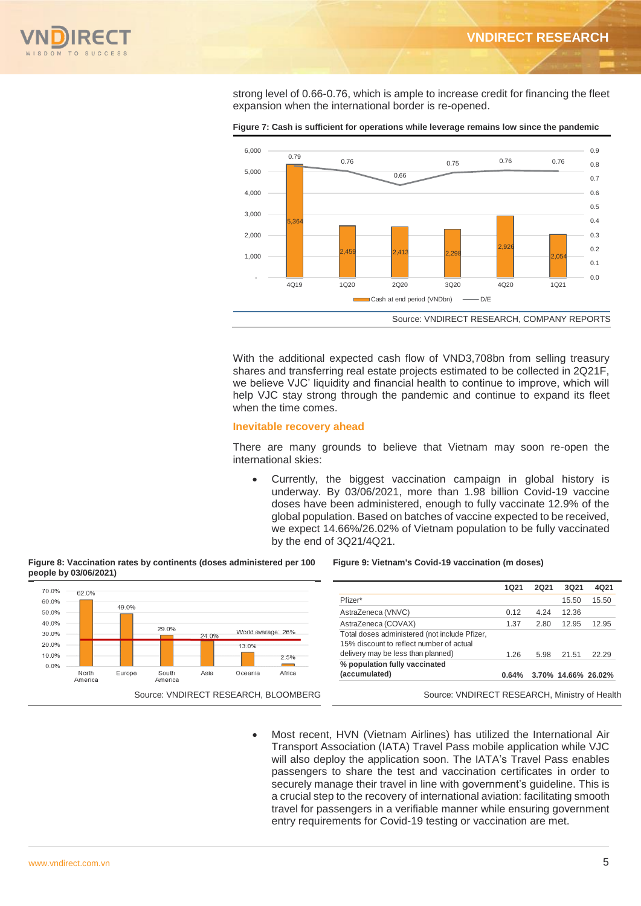

strong level of 0.66-0.76, which is ample to increase credit for financing the fleet expansion when the international border is re-opened.



**Figure 7: Cash is sufficient for operations while leverage remains low since the pandemic**

With the additional expected cash flow of VND3,708bn from selling treasury shares and transferring real estate projects estimated to be collected in 2Q21F, we believe VJC' liquidity and financial health to continue to improve, which will help VJC stay strong through the pandemic and continue to expand its fleet when the time comes.

#### **Inevitable recovery ahead**

There are many grounds to believe that Vietnam may soon re-open the international skies:

 Currently, the biggest vaccination campaign in global history is underway. By 03/06/2021, more than 1.98 billion Covid-19 vaccine doses have been administered, enough to fully vaccinate 12.9% of the global population. Based on batches of vaccine expected to be received, we expect 14.66%/26.02% of Vietnam population to be fully vaccinated by the end of 3Q21/4Q21.

#### **Figure 8: Vaccination rates by continents (doses administered per 100 people by 03/06/2021)**



#### **Figure 9: Vietnam's Covid-19 vaccination (m doses)**

|                                               | 1021  | 2Q21 | 3Q21                | 4Q21  |
|-----------------------------------------------|-------|------|---------------------|-------|
| Pfizer*                                       |       |      | 15.50               | 15.50 |
| AstraZeneca (VNVC)                            | 0.12  | 4.24 | 12.36               |       |
| AstraZeneca (COVAX)                           | 1.37  | 2.80 | 12.95               | 12.95 |
| Total doses administered (not include Pfizer, |       |      |                     |       |
| 15% discount to reflect number of actual      |       |      |                     |       |
| delivery may be less than planned)            | 1.26  | 5.98 | 21.51               | 22.29 |
| % population fully vaccinated                 |       |      |                     |       |
| (accumulated)                                 | 0.64% |      | 3.70% 14.66% 26.02% |       |

 Most recent, HVN (Vietnam Airlines) has utilized the International Air Transport Association (IATA) Travel Pass mobile application while VJC will also deploy the application soon. The IATA's Travel Pass enables passengers to share the test and vaccination certificates in order to securely manage their travel in line with government's guideline. This is a crucial step to the recovery of international aviation: facilitating smooth travel for passengers in a verifiable manner while ensuring government entry requirements for Covid-19 testing or vaccination are met.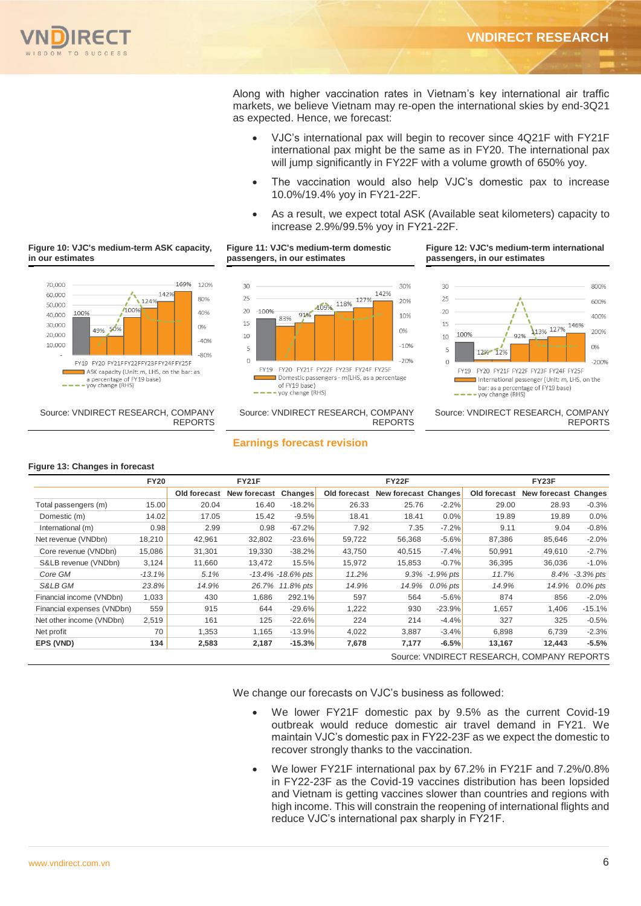

Along with higher vaccination rates in Vietnam's key international air traffic markets, we believe Vietnam may re-open the international skies by end-3Q21 as expected. Hence, we forecast:

- VJC's international pax will begin to recover since 4Q21F with FY21F international pax might be the same as in FY20. The international pax will jump significantly in FY22F with a volume growth of 650% yoy.
- The vaccination would also help VJC's domestic pax to increase 10.0%/19.4% yoy in FY21-22F.
- As a result, we expect total ASK (Available seat kilometers) capacity to increase 2.9%/99.5% yoy in FY21-22F.

# **Figure 10: VJC's medium-term ASK capacity, in our estimates**



 Source: VNDIRECT RESEARCH, COMPANY REPORTS





 Source: VNDIRECT RESEARCH, COMPANY REPORTS

#### **Figure 12: VJC's medium-term international passengers, in our estimates**



Source: VNDIRECT RESEARCH, COMPANY REPORTS

# **Earnings forecast revision**

#### **Figure 13: Changes in forecast**

|                            | <b>FY20</b> | <b>FY21F</b> |              |                       |              | <b>FY22F</b>         |                    | FY23F                                      |                      |             |  |
|----------------------------|-------------|--------------|--------------|-----------------------|--------------|----------------------|--------------------|--------------------------------------------|----------------------|-------------|--|
|                            |             | Old forecast | New forecast | Changes               | Old forecast | New forecast Changes |                    | Old forecast                               | New forecast Changes |             |  |
| Total passengers (m)       | 15.00       | 20.04        | 16.40        | $-18.2%$              | 26.33        | 25.76                | $-2.2%$            | 29.00                                      | 28.93                | $-0.3%$     |  |
| Domestic (m)               | 14.02       | 17.05        | 15.42        | $-9.5%$               | 18.41        | 18.41                | 0.0%               | 19.89                                      | 19.89                | 0.0%        |  |
| International (m)          | 0.98        | 2.99         | 0.98         | $-67.2%$              | 7.92         | 7.35                 | $-7.2%$            | 9.11                                       | 9.04                 | $-0.8%$     |  |
| Net revenue (VNDbn)        | 18,210      | 42,961       | 32,802       | $-23.6%$              | 59,722       | 56,368               | $-5.6%$            | 87,386                                     | 85,646               | $-2.0%$     |  |
| Core revenue (VNDbn)       | 15,086      | 31,301       | 19,330       | $-38.2%$              | 43,750       | 40,515               | $-7.4%$            | 50,991                                     | 49,610               | $-2.7%$     |  |
| S&LB revenue (VNDbn)       | 3,124       | 11,660       | 13,472       | 15.5%                 | 15,972       | 15,853               | $-0.7%$            | 36,395                                     | 36,036               | $-1.0%$     |  |
| Core GM                    | $-13.1%$    | 5.1%         |              | $-13.4\% -18.6\%$ pts | 11.2%        |                      | $9.3\% -1.9\%$ pts | 11.7%                                      | 8.4%                 | -3.3% pts   |  |
| S&LB GM                    | 23.8%       | 14.9%        | 26.7%        | 11.8% pts             | 14.9%        | 14.9%                | $0.0\%$ pts        | 14.9%                                      | 14.9%                | $0.0\%$ pts |  |
| Financial income (VNDbn)   | 1,033       | 430          | 1,686        | 292.1%                | 597          | 564                  | $-5.6%$            | 874                                        | 856                  | $-2.0%$     |  |
| Financial expenses (VNDbn) | 559         | 915          | 644          | $-29.6%$              | 1,222        | 930                  | $-23.9%$           | 1,657                                      | 1,406                | $-15.1%$    |  |
| Net other income (VNDbn)   | 2,519       | 161          | 125          | $-22.6%$              | 224          | 214                  | $-4.4%$            | 327                                        | 325                  | $-0.5%$     |  |
| Net profit                 | 70          | 1,353        | 1,165        | $-13.9%$              | 4,022        | 3,887                | $-3.4%$            | 6,898                                      | 6,739                | $-2.3%$     |  |
| EPS (VND)                  | 134         | 2,583        | 2,187        | $-15.3%$              | 7,678        | 7,177                | $-6.5%$            | 13,167                                     | 12,443               | $-5.5%$     |  |
|                            |             |              |              |                       |              |                      |                    | Source: VNDIRECT RESEARCH, COMPANY REPORTS |                      |             |  |

We change our forecasts on VJC's business as followed:

- We lower FY21F domestic pax by 9.5% as the current Covid-19 outbreak would reduce domestic air travel demand in FY21. We maintain VJC's domestic pax in FY22-23F as we expect the domestic to recover strongly thanks to the vaccination.
- We lower FY21F international pax by 67.2% in FY21F and 7.2%/0.8% in FY22-23F as the Covid-19 vaccines distribution has been lopsided and Vietnam is getting vaccines slower than countries and regions with high income. This will constrain the reopening of international flights and reduce VJC's international pax sharply in FY21F.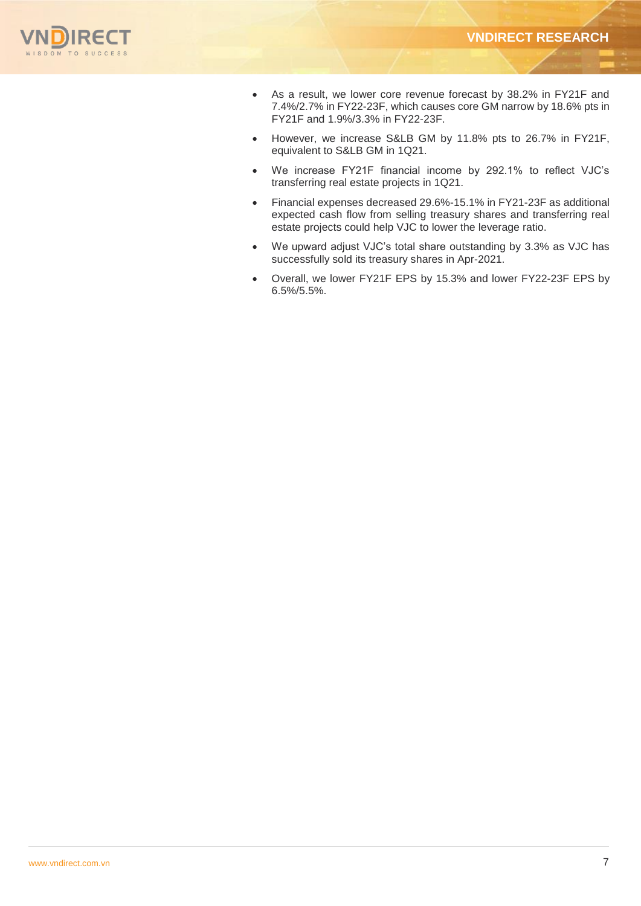

- As a result, we lower core revenue forecast by 38.2% in FY21F and 7.4%/2.7% in FY22-23F, which causes core GM narrow by 18.6% pts in FY21F and 1.9%/3.3% in FY22-23F.
- However, we increase S&LB GM by 11.8% pts to 26.7% in FY21F, equivalent to S&LB GM in 1Q21.
- We increase FY21F financial income by 292.1% to reflect VJC's transferring real estate projects in 1Q21.
- Financial expenses decreased 29.6%-15.1% in FY21-23F as additional expected cash flow from selling treasury shares and transferring real estate projects could help VJC to lower the leverage ratio.
- We upward adjust VJC's total share outstanding by 3.3% as VJC has successfully sold its treasury shares in Apr-2021.
- Overall, we lower FY21F EPS by 15.3% and lower FY22-23F EPS by 6.5%/5.5%.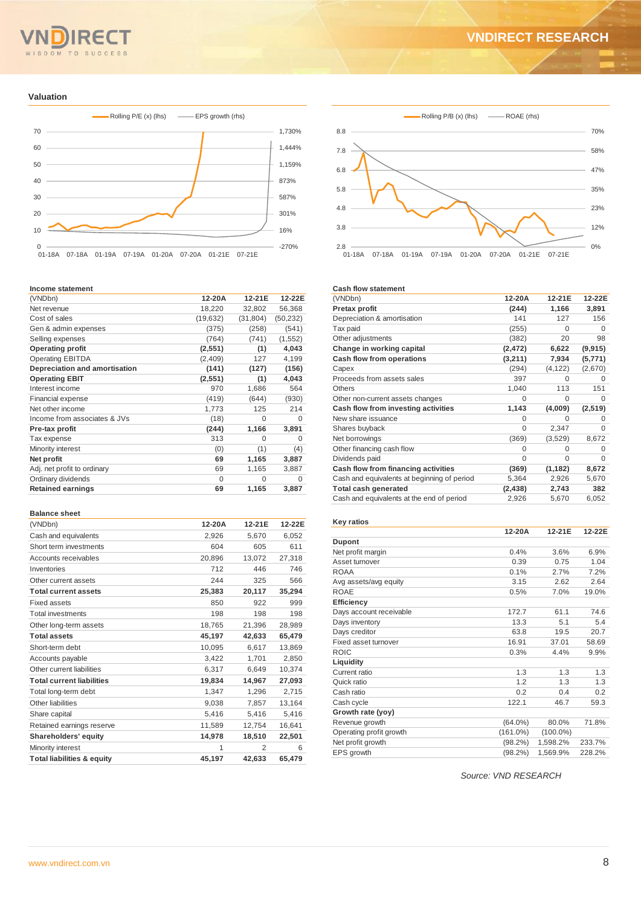#### TO SUCCESS  $S<sub>D</sub>$ O M

#### **Valuation**



#### **Income statement**

| (VNDbn)                       | 12-20A   | 12-21E    | 12-22E    |
|-------------------------------|----------|-----------|-----------|
| Net revenue                   | 18,220   | 32,802    | 56,368    |
| Cost of sales                 | (19,632) | (31, 804) | (50, 232) |
| Gen & admin expenses          | (375)    | (258)     | (541)     |
| Selling expenses              | (764)    | (741)     | (1, 552)  |
| <b>Operating profit</b>       | (2,551)  | (1)       | 4,043     |
| <b>Operating EBITDA</b>       | (2,409)  | 127       | 4,199     |
| Depreciation and amortisation | (141)    | (127)     | (156)     |
| <b>Operating EBIT</b>         | (2,551)  | (1)       | 4,043     |
| Interest income               | 970      | 1,686     | 564       |
| <b>Financial expense</b>      | (419)    | (644)     | (930)     |
| Net other income              | 1,773    | 125       | 214       |
| Income from associates & JVs  | (18)     | $\Omega$  | O         |
| Pre-tax profit                | (244)    | 1,166     | 3,891     |
| Tax expense                   | 313      | $\Omega$  | $\Omega$  |
| Minority interest             | (0)      | (1)       | (4)       |
| Net profit                    | 69       | 1,165     | 3,887     |
| Adj. net profit to ordinary   | 69       | 1,165     | 3,887     |
| Ordinary dividends            | $\Omega$ | $\Omega$  | $\Omega$  |
| <b>Retained earnings</b>      | 69       | 1,165     | 3,887     |
|                               |          |           |           |

#### **Balance sheet**

| (VNDbn)                               | 12-20A | 12-21E         | 12-22E |
|---------------------------------------|--------|----------------|--------|
| Cash and equivalents                  | 2,926  | 5,670          | 6,052  |
| Short term investments                | 604    | 605            | 611    |
| Accounts receivables                  | 20,896 | 13,072         | 27,318 |
| Inventories                           | 712    | 446            | 746    |
| Other current assets                  | 244    | 325            | 566    |
| <b>Total current assets</b>           | 25,383 | 20,117         | 35,294 |
| <b>Fixed assets</b>                   | 850    | 922            | 999    |
| <b>Total investments</b>              | 198    | 198            | 198    |
| Other long-term assets                | 18,765 | 21,396         | 28,989 |
| <b>Total assets</b>                   | 45.197 | 42,633         | 65,479 |
| Short-term debt                       | 10,095 | 6,617          | 13,869 |
| Accounts payable                      | 3,422  | 1,701          | 2,850  |
| Other current liabilities             | 6,317  | 6,649          | 10,374 |
| <b>Total current liabilities</b>      | 19,834 | 14,967         | 27,093 |
| Total long-term debt                  | 1,347  | 1,296          | 2,715  |
| Other liabilities                     | 9,038  | 7,857          | 13.164 |
| Share capital                         | 5,416  | 5,416          | 5,416  |
| Retained earnings reserve             | 11,589 | 12,754         | 16,641 |
| Shareholders' equity                  | 14,978 | 18,510         | 22,501 |
| Minority interest                     | 1      | $\overline{2}$ | 6      |
| <b>Total liabilities &amp; equity</b> | 45,197 | 42.633         | 65.479 |



#### **Cash flow statement**

| (VNDbn)                                     | 12-20A   | 12-21E   | 12-22E   |
|---------------------------------------------|----------|----------|----------|
| Pretax profit                               | (244)    | 1,166    | 3,891    |
| Depreciation & amortisation                 | 141      | 127      | 156      |
| Tax paid                                    | (255)    | $\Omega$ | $\Omega$ |
| Other adjustments                           | (382)    | 20       | 98       |
| Change in working capital                   | (2, 472) | 6,622    | (9, 915) |
| Cash flow from operations                   | (3,211)  | 7,934    | (5,771)  |
| Capex                                       | (294)    | (4, 122) | (2,670)  |
| Proceeds from assets sales                  | 397      | $\Omega$ | O        |
| <b>Others</b>                               | 1,040    | 113      | 151      |
| Other non-current assets changes            | 0        | $\Omega$ | O        |
| Cash flow from investing activities         | 1,143    | (4,009)  | (2,519)  |
| New share issuance                          | O        | 0        | O        |
| Shares buyback                              | $\Omega$ | 2,347    | $\Omega$ |
| Net borrowings                              | (369)    | (3,529)  | 8,672    |
| Other financing cash flow                   | 0        | 0        | 0        |
| Dividends paid                              | $\Omega$ | $\Omega$ | 0        |
| Cash flow from financing activities         | (369)    | (1, 182) | 8,672    |
| Cash and equivalents at beginning of period | 5,364    | 2,926    | 5,670    |
| <b>Total cash generated</b>                 | (2, 438) | 2,743    | 382      |
| Cash and equivalents at the end of period   | 2,926    | 5,670    | 6,052    |

#### **Key ratios**

|                         | 12-20A      | 12-21E      | 12-22E |
|-------------------------|-------------|-------------|--------|
| <b>Dupont</b>           |             |             |        |
| Net profit margin       | 0.4%        | 3.6%        | 6.9%   |
| Asset turnover          | 0.39        | 0.75        | 1.04   |
| <b>ROAA</b>             | 0.1%        | 2.7%        | 7.2%   |
| Avg assets/avg equity   | 3.15        | 2.62        | 2.64   |
| <b>ROAE</b>             | 0.5%        | 7.0%        | 19.0%  |
| <b>Efficiency</b>       |             |             |        |
| Days account receivable | 172.7       | 61.1        | 74.6   |
| Days inventory          | 13.3        | 5.1         | 5.4    |
| Days creditor           | 63.8        | 19.5        | 20.7   |
| Fixed asset turnover    | 16.91       | 37.01       | 58.69  |
| <b>ROIC</b>             | 0.3%        | 4.4%        | 9.9%   |
| Liquidity               |             |             |        |
| Current ratio           | 1.3         | 1.3         | 1.3    |
| Quick ratio             | 1.2         | 1.3         | 1.3    |
| Cash ratio              | 0.2         | 0.4         | 0.2    |
| Cash cycle              | 122.1       | 46.7        | 59.3   |
| Growth rate (yoy)       |             |             |        |
| Revenue growth          | $(64.0\%)$  | 80.0%       | 71.8%  |
| Operating profit growth | $(161.0\%)$ | $(100.0\%)$ |        |
| Net profit growth       | $(98.2\%)$  | 1,598.2%    | 233.7% |
| EPS growth              | $(98.2\%)$  | 1,569.9%    | 228.2% |

*Source: VND RESEARCH*